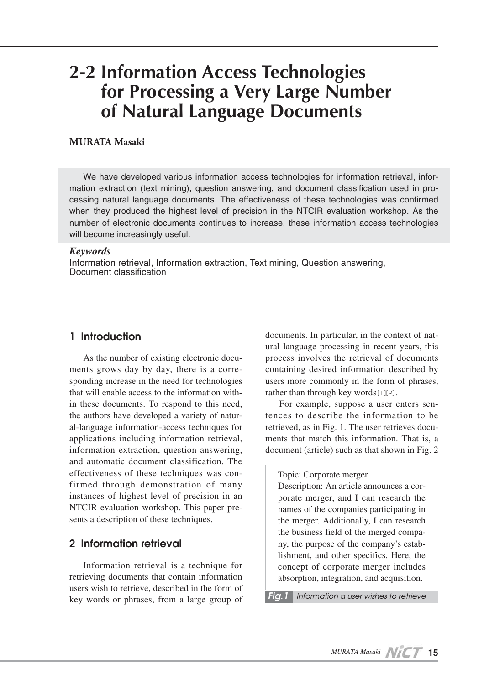# **2-2 Information Access Technologies for Processing a Very Large Number of Natural Language Documents**

#### **MURATA Masaki**

We have developed various information access technologies for information retrieval, information extraction (text mining), question answering, and document classification used in processing natural language documents. The effectiveness of these technologies was confirmed when they produced the highest level of precision in the NTCIR evaluation workshop. As the number of electronic documents continues to increase, these information access technologies will become increasingly useful.

#### *Keywords*

Information retrieval, Information extraction, Text mining, Question answering, Document classification

## **1 Introduction**

As the number of existing electronic documents grows day by day, there is a corresponding increase in the need for technologies that will enable access to the information within these documents. To respond to this need, the authors have developed a variety of natural-language information-access techniques for applications including information retrieval, information extraction, question answering, and automatic document classification. The effectiveness of these techniques was confirmed through demonstration of many instances of highest level of precision in an NTCIR evaluation workshop. This paper presents a description of these techniques.

## **2 Information retrieval**

Information retrieval is a technique for retrieving documents that contain information users wish to retrieve, described in the form of key words or phrases, from a large group of documents. In particular, in the context of natural language processing in recent years, this process involves the retrieval of documents containing desired information described by users more commonly in the form of phrases, rather than through key words[1][2].

For example, suppose a user enters sentences to describe the information to be retrieved, as in Fig. 1. The user retrieves documents that match this information. That is, a document (article) such as that shown in Fig. 2

#### Topic: Corporate merger

Description: An article announces a corporate merger, and I can research the names of the companies participating in the merger. Additionally, I can research the business field of the merged company, the purpose of the company's establishment, and other specifics. Here, the concept of corporate merger includes absorption, integration, and acquisition.

*Fig.1 Information a user wishes to retrieve*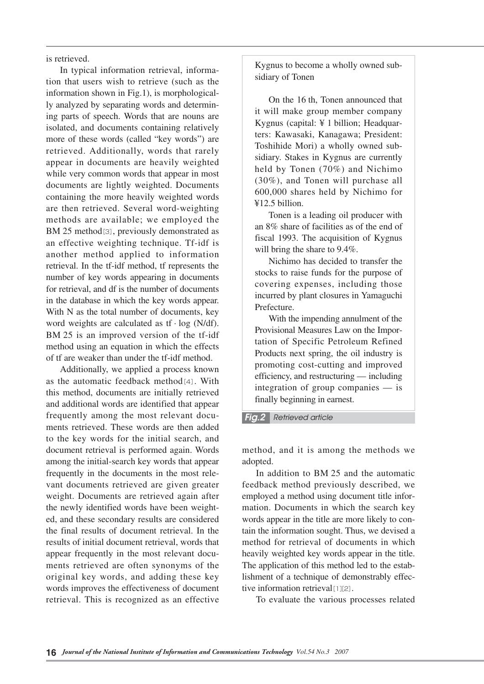is retrieved.

In typical information retrieval, information that users wish to retrieve (such as the information shown in Fig.1), is morphologically analyzed by separating words and determining parts of speech. Words that are nouns are isolated, and documents containing relatively more of these words (called "key words") are retrieved. Additionally, words that rarely appear in documents are heavily weighted while very common words that appear in most documents are lightly weighted. Documents containing the more heavily weighted words are then retrieved. Several word-weighting methods are available; we employed the BM 25 method[3], previously demonstrated as an effective weighting technique. Tf-idf is another method applied to information retrieval. In the tf-idf method, tf represents the number of key words appearing in documents for retrieval, and df is the number of documents in the database in which the key words appear. With N as the total number of documents, key word weights are calculated as  $tf \cdot \log(N/df)$ . BM 25 is an improved version of the tf-idf method using an equation in which the effects of tf are weaker than under the tf-idf method.

Additionally, we applied a process known as the automatic feedback method<sup>[4]</sup>. With this method, documents are initially retrieved and additional words are identified that appear frequently among the most relevant documents retrieved. These words are then added to the key words for the initial search, and document retrieval is performed again. Words among the initial-search key words that appear frequently in the documents in the most relevant documents retrieved are given greater weight. Documents are retrieved again after the newly identified words have been weighted, and these secondary results are considered the final results of document retrieval. In the results of initial document retrieval, words that appear frequently in the most relevant documents retrieved are often synonyms of the original key words, and adding these key words improves the effectiveness of document retrieval. This is recognized as an effective

Kygnus to become a wholly owned subsidiary of Tonen

On the 16 th, Tonen announced that it will make group member company Kygnus (capital: ¥ 1 billion; Headquarters: Kawasaki, Kanagawa; President: Toshihide Mori) a wholly owned subsidiary. Stakes in Kygnus are currently held by Tonen (70%) and Nichimo (30%), and Tonen will purchase all 600,000 shares held by Nichimo for ¥12.5 billion.

Tonen is a leading oil producer with an 8% share of facilities as of the end of fiscal 1993. The acquisition of Kygnus will bring the share to 9.4%.

Nichimo has decided to transfer the stocks to raise funds for the purpose of covering expenses, including those incurred by plant closures in Yamaguchi Prefecture.

With the impending annulment of the Provisional Measures Law on the Importation of Specific Petroleum Refined Products next spring, the oil industry is promoting cost-cutting and improved efficiency, and restructuring — including integration of group companies — is finally beginning in earnest.

*Fig.2 Retrieved article*

method, and it is among the methods we adopted.

In addition to BM 25 and the automatic feedback method previously described, we employed a method using document title information. Documents in which the search key words appear in the title are more likely to contain the information sought. Thus, we devised a method for retrieval of documents in which heavily weighted key words appear in the title. The application of this method led to the establishment of a technique of demonstrably effective information retrieval[1][2].

To evaluate the various processes related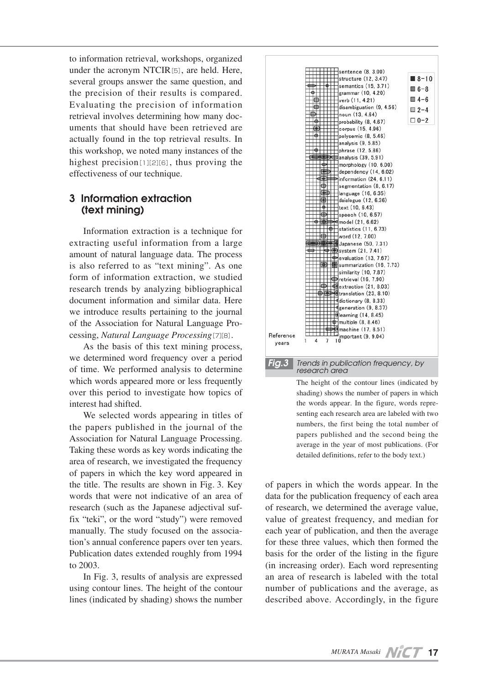to information retrieval, workshops, organized under the acronym NTCIR[5], are held. Here, several groups answer the same question, and the precision of their results is compared. Evaluating the precision of information retrieval involves determining how many documents that should have been retrieved are actually found in the top retrieval results. In this workshop, we noted many instances of the highest precision<sup>[1][2][6]</sup>, thus proving the effectiveness of our technique.

# **3 Information extraction (text mining)**

Information extraction is a technique for extracting useful information from a large amount of natural language data. The process is also referred to as "text mining". As one form of information extraction, we studied research trends by analyzing bibliographical document information and similar data. Here we introduce results pertaining to the journal of the Association for Natural Language Processing, *Natural Language Processing*[7][8].

As the basis of this text mining process, we determined word frequency over a period of time. We performed analysis to determine which words appeared more or less frequently over this period to investigate how topics of interest had shifted.

We selected words appearing in titles of the papers published in the journal of the Association for Natural Language Processing. Taking these words as key words indicating the area of research, we investigated the frequency of papers in which the key word appeared in the title. The results are shown in Fig. 3. Key words that were not indicative of an area of research (such as the Japanese adjectival suffix "teki", or the word "study") were removed manually. The study focused on the association's annual conference papers over ten years. Publication dates extended roughly from 1994 to 2003.

In Fig. 3, results of analysis are expressed using contour lines. The height of the contour lines (indicated by shading) shows the number



The height of the contour lines (indicated by shading) shows the number of papers in which the words appear. In the figure, words representing each research area are labeled with two numbers, the first being the total number of papers published and the second being the average in the year of most publications. (For detailed definitions, refer to the body text.)

of papers in which the words appear. In the data for the publication frequency of each area of research, we determined the average value, value of greatest frequency, and median for each year of publication, and then the average for these three values, which then formed the basis for the order of the listing in the figure (in increasing order). Each word representing an area of research is labeled with the total number of publications and the average, as described above. Accordingly, in the figure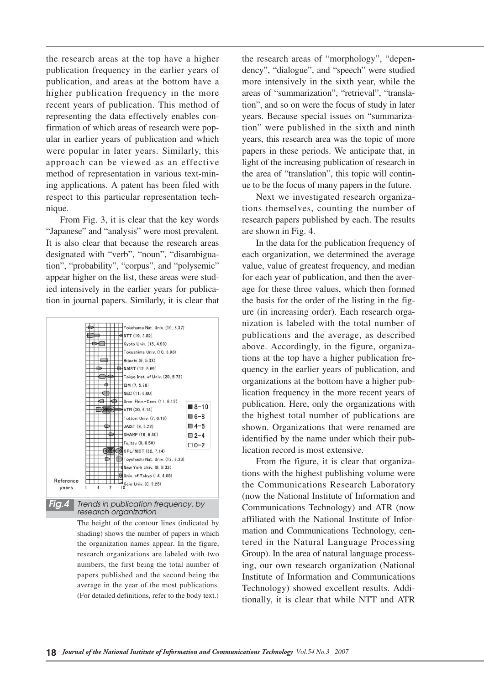the research areas at the top have a higher publication frequency in the earlier years of publication, and areas at the bottom have a higher publication frequency in the more recent years of publication. This method of representing the data effectively enables confirmation of which areas of research were popular in earlier years of publication and which were popular in later years. Similarly, this approach can be viewed as an effective method of representation in various text-mining applications. A patent has been filed with respect to this particular representation technique.

From Fig. 3, it is clear that the key words "Japanese" and "analysis" were most prevalent. It is also clear that because the research areas designated with "verb", "noun", "disambiguation", "probability", "corpus", and "polysemic" appear higher on the list, these areas were studied intensively in the earlier years for publication in journal papers. Similarly, it is clear that



The height of the contour lines (indicated by shading) shows the number of papers in which the organization names appear. In the figure, research organizations are labeled with two numbers, the first being the total number of papers published and the second being the average in the year of the most publications. (For detailed definitions, refer to the body text.)

the research areas of "morphology", "dependency", "dialogue", and "speech" were studied more intensively in the sixth year, while the areas of "summarization", "retrieval", "translation", and so on were the focus of study in later years. Because special issues on "summarization" were published in the sixth and ninth years, this research area was the topic of more papers in these periods. We anticipate that, in light of the increasing publication of research in the area of "translation", this topic will continue to be the focus of many papers in the future.

Next we investigated research organizations themselves, counting the number of research papers published by each. The results are shown in Fig. 4.

In the data for the publication frequency of each organization, we determined the average value, value of greatest frequency, and median for each year of publication, and then the average for these three values, which then formed the basis for the order of the listing in the figure (in increasing order). Each research organization is labeled with the total number of publications and the average, as described above. Accordingly, in the figure, organizations at the top have a higher publication frequency in the earlier years of publication, and organizations at the bottom have a higher publication frequency in the more recent years of publication. Here, only the organizations with the highest total number of publications are shown. Organizations that were renamed are identified by the name under which their publication record is most extensive.

From the figure, it is clear that organizations with the highest publishing volume were the Communications Research Laboratory (now the National Institute of Information and Communications Technology) and ATR (now affiliated with the National Institute of Information and Communications Technology, centered in the Natural Language Processing Group). In the area of natural language processing, our own research organization (National Institute of Information and Communications Technology) showed excellent results. Additionally, it is clear that while NTT and ATR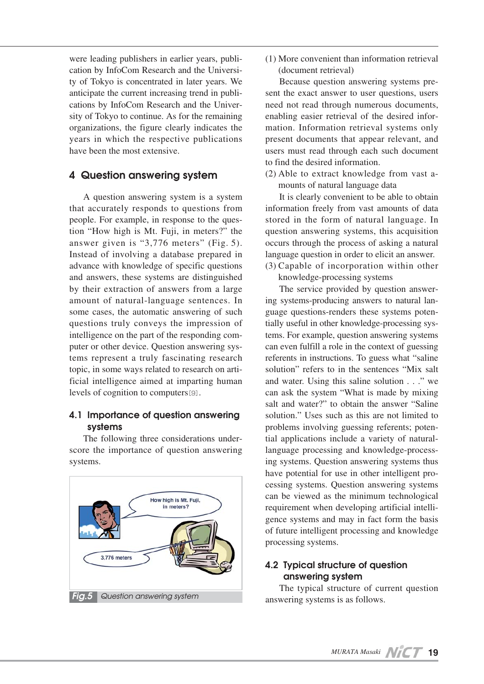were leading publishers in earlier years, publication by InfoCom Research and the University of Tokyo is concentrated in later years. We anticipate the current increasing trend in publications by InfoCom Research and the University of Tokyo to continue. As for the remaining organizations, the figure clearly indicates the years in which the respective publications have been the most extensive.

# **4 Question answering system**

A question answering system is a system that accurately responds to questions from people. For example, in response to the question "How high is Mt. Fuji, in meters?" the answer given is "3,776 meters" (Fig. 5). Instead of involving a database prepared in advance with knowledge of specific questions and answers, these systems are distinguished by their extraction of answers from a large amount of natural-language sentences. In some cases, the automatic answering of such questions truly conveys the impression of intelligence on the part of the responding computer or other device. Question answering systems represent a truly fascinating research topic, in some ways related to research on artificial intelligence aimed at imparting human levels of cognition to computers[9].

# **4.1 Importance of question answering systems**

The following three considerations underscore the importance of question answering systems.



(1) More convenient than information retrieval (document retrieval)

Because question answering systems present the exact answer to user questions, users need not read through numerous documents, enabling easier retrieval of the desired information. Information retrieval systems only present documents that appear relevant, and users must read through each such document to find the desired information.

(2) Able to extract knowledge from vast amounts of natural language data

It is clearly convenient to be able to obtain information freely from vast amounts of data stored in the form of natural language. In question answering systems, this acquisition occurs through the process of asking a natural language question in order to elicit an answer.

(3) Capable of incorporation within other knowledge-processing systems

The service provided by question answering systems-producing answers to natural language questions-renders these systems potentially useful in other knowledge-processing systems. For example, question answering systems can even fulfill a role in the context of guessing referents in instructions. To guess what "saline solution" refers to in the sentences "Mix salt and water. Using this saline solution . . ." we can ask the system "What is made by mixing salt and water?" to obtain the answer "Saline solution." Uses such as this are not limited to problems involving guessing referents; potential applications include a variety of naturallanguage processing and knowledge-processing systems. Question answering systems thus have potential for use in other intelligent processing systems. Question answering systems can be viewed as the minimum technological requirement when developing artificial intelligence systems and may in fact form the basis of future intelligent processing and knowledge processing systems.

# **4.2 Typical structure of question answering system**

The typical structure of current question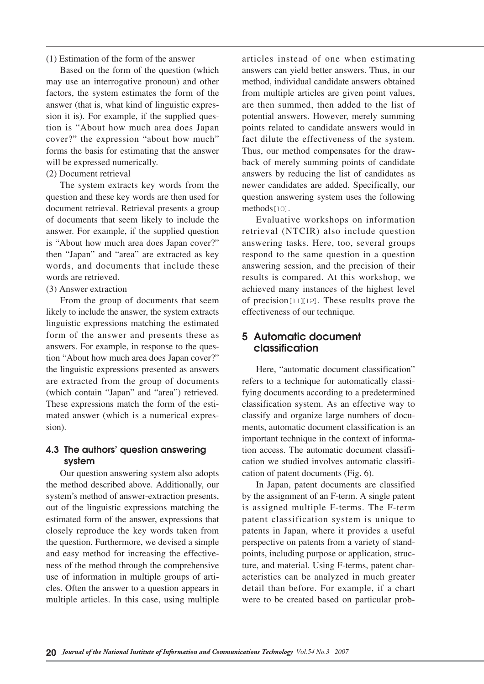(1) Estimation of the form of the answer

Based on the form of the question (which may use an interrogative pronoun) and other factors, the system estimates the form of the answer (that is, what kind of linguistic expression it is). For example, if the supplied question is "About how much area does Japan cover?" the expression "about how much" forms the basis for estimating that the answer will be expressed numerically.

(2) Document retrieval

The system extracts key words from the question and these key words are then used for document retrieval. Retrieval presents a group of documents that seem likely to include the answer. For example, if the supplied question is "About how much area does Japan cover?" then "Japan" and "area" are extracted as key words, and documents that include these words are retrieved.

(3) Answer extraction

From the group of documents that seem likely to include the answer, the system extracts linguistic expressions matching the estimated form of the answer and presents these as answers. For example, in response to the question "About how much area does Japan cover?" the linguistic expressions presented as answers are extracted from the group of documents (which contain "Japan" and "area") retrieved. These expressions match the form of the estimated answer (which is a numerical expression).

## **4.3 The authors' question answering system**

Our question answering system also adopts the method described above. Additionally, our system's method of answer-extraction presents, out of the linguistic expressions matching the estimated form of the answer, expressions that closely reproduce the key words taken from the question. Furthermore, we devised a simple and easy method for increasing the effectiveness of the method through the comprehensive use of information in multiple groups of articles. Often the answer to a question appears in multiple articles. In this case, using multiple

articles instead of one when estimating answers can yield better answers. Thus, in our method, individual candidate answers obtained from multiple articles are given point values, are then summed, then added to the list of potential answers. However, merely summing points related to candidate answers would in fact dilute the effectiveness of the system. Thus, our method compensates for the drawback of merely summing points of candidate answers by reducing the list of candidates as newer candidates are added. Specifically, our question answering system uses the following methods[10].

Evaluative workshops on information retrieval (NTCIR) also include question answering tasks. Here, too, several groups respond to the same question in a question answering session, and the precision of their results is compared. At this workshop, we achieved many instances of the highest level of precision[11][12]. These results prove the effectiveness of our technique.

# **5 Automatic document classification**

Here, "automatic document classification" refers to a technique for automatically classifying documents according to a predetermined classification system. As an effective way to classify and organize large numbers of documents, automatic document classification is an important technique in the context of information access. The automatic document classification we studied involves automatic classification of patent documents (Fig. 6).

In Japan, patent documents are classified by the assignment of an F-term. A single patent is assigned multiple F-terms. The F-term patent classification system is unique to patents in Japan, where it provides a useful perspective on patents from a variety of standpoints, including purpose or application, structure, and material. Using F-terms, patent characteristics can be analyzed in much greater detail than before. For example, if a chart were to be created based on particular prob-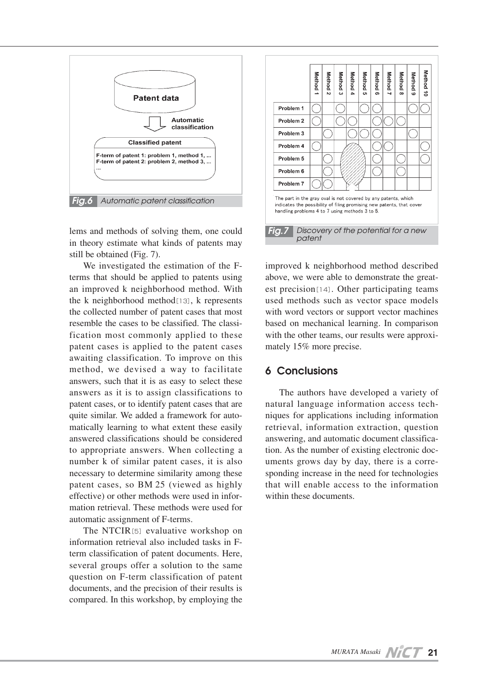

lems and methods of solving them, one could in theory estimate what kinds of patents may still be obtained (Fig. 7).

We investigated the estimation of the Fterms that should be applied to patents using an improved k neighborhood method. With the k neighborhood method[13], k represents the collected number of patent cases that most resemble the cases to be classified. The classification most commonly applied to these patent cases is applied to the patent cases awaiting classification. To improve on this method, we devised a way to facilitate answers, such that it is as easy to select these answers as it is to assign classifications to patent cases, or to identify patent cases that are quite similar. We added a framework for automatically learning to what extent these easily answered classifications should be considered to appropriate answers. When collecting a number k of similar patent cases, it is also necessary to determine similarity among these patent cases, so BM 25 (viewed as highly effective) or other methods were used in information retrieval. These methods were used for automatic assignment of F-terms.

The NTCIR<sup>[5]</sup> evaluative workshop on information retrieval also included tasks in Fterm classification of patent documents. Here, several groups offer a solution to the same question on F-term classification of patent documents, and the precision of their results is compared. In this workshop, by employing the



improved k neighborhood method described above, we were able to demonstrate the greatest precision<sup>[14]</sup>. Other participating teams used methods such as vector space models with word vectors or support vector machines based on mechanical learning. In comparison with the other teams, our results were approximately 15% more precise.

# **6 Conclusions**

The authors have developed a variety of natural language information access techniques for applications including information retrieval, information extraction, question answering, and automatic document classification. As the number of existing electronic documents grows day by day, there is a corresponding increase in the need for technologies that will enable access to the information within these documents.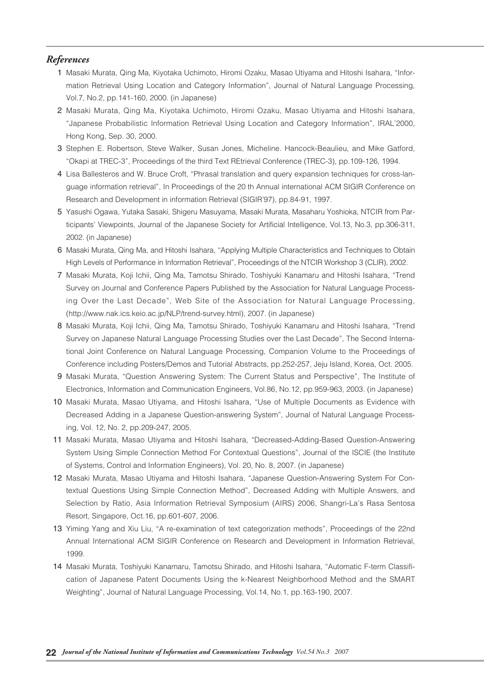#### *References*

- 01 Masaki Murata, Qing Ma, Kiyotaka Uchimoto, Hiromi Ozaku, Masao Utiyama and Hitoshi Isahara, "Information Retrieval Using Location and Category Information", Journal of Natural Language Processing, Vol.7, No.2, pp.141-160, 2000. (in Japanese)
- 2 Masaki Murata, Qing Ma, Kiyotaka Uchimoto, Hiromi Ozaku, Masao Utiyama and Hitoshi Isahara, "Japanese Probabilistic Information Retrieval Using Location and Category Information", IRAL'2000, Hong Kong, Sep. 30, 2000.
- 3 Stephen E. Robertson, Steve Walker, Susan Jones, Micheline. Hancock-Beaulieu, and Mike Gatford, "Okapi at TREC-3", Proceedings of the third Text REtrieval Conference (TREC-3), pp.109-126, 1994.
- 04 Lisa Ballesteros and W. Bruce Croft, "Phrasal translation and query expansion techniques for cross-language information retrieval", In Proceedings of the 20 th Annual international ACM SIGIR Conference on Research and Development in information Retrieval (SIGIR'97), pp.84-91, 1997.
- 05 Yasushi Ogawa, Yutaka Sasaki, Shigeru Masuyama, Masaki Murata, Masaharu Yoshioka, NTCIR from Participants' Viewpoints, Journal of the Japanese Society for Artificial Intelligence, Vol.13, No.3, pp.306-311, 2002. (in Japanese)
- 06 Masaki Murata, Qing Ma, and Hitoshi Isahara, "Applying Multiple Characteristics and Techniques to Obtain High Levels of Performance in Information Retrieval", Proceedings of the NTCIR Workshop 3 (CLIR), 2002.
- 07 Masaki Murata, Koji Ichii, Qing Ma, Tamotsu Shirado, Toshiyuki Kanamaru and Hitoshi Isahara, "Trend Survey on Journal and Conference Papers Published by the Association for Natural Language Processing Over the Last Decade", Web Site of the Association for Natural Language Processing, (http://www.nak.ics.keio.ac.jp/NLP/trend-survey.html), 2007. (in Japanese)
- 08 Masaki Murata, Koji Ichii, Qing Ma, Tamotsu Shirado, Toshiyuki Kanamaru and Hitoshi Isahara, "Trend Survey on Japanese Natural Language Processing Studies over the Last Decade", The Second International Joint Conference on Natural Language Processing, Companion Volume to the Proceedings of Conference including Posters/Demos and Tutorial Abstracts, pp.252-257, Jeju Island, Korea, Oct. 2005.
- 09 Masaki Murata, "Question Answering System: The Current Status and Perspective", The Institute of Electronics, Information and Communication Engineers, Vol.86, No.12, pp.959-963, 2003. (in Japanese)
- 10 Masaki Murata, Masao Utiyama, and Hitoshi Isahara, "Use of Multiple Documents as Evidence with Decreased Adding in a Japanese Question-answering System", Journal of Natural Language Processing, Vol. 12, No. 2, pp.209-247, 2005.
- 11 Masaki Murata, Masao Utiyama and Hitoshi Isahara, "Decreased-Adding-Based Question-Answering System Using Simple Connection Method For Contextual Questions", Journal of the ISCIE (the Institute of Systems, Control and Information Engineers), Vol. 20, No. 8, 2007. (in Japanese)
- 12 Masaki Murata, Masao Utiyama and Hitoshi Isahara, "Japanese Question-Answering System For Contextual Questions Using Simple Connection Method", Decreased Adding with Multiple Answers, and Selection by Ratio, Asia Information Retrieval Symposium (AIRS) 2006, Shangri-La's Rasa Sentosa Resort, Singapore, Oct.16, pp.601-607, 2006.
- 13 Yiming Yang and Xiu Liu, "A re-examination of text categorization methods", Proceedings of the 22nd Annual International ACM SIGIR Conference on Research and Development in Information Retrieval, 1999.
- 14 Masaki Murata, Toshiyuki Kanamaru, Tamotsu Shirado, and Hitoshi Isahara, "Automatic F-term Classification of Japanese Patent Documents Using the k-Nearest Neighborhood Method and the SMART Weighting", Journal of Natural Language Processing, Vol.14, No.1, pp.163-190, 2007.